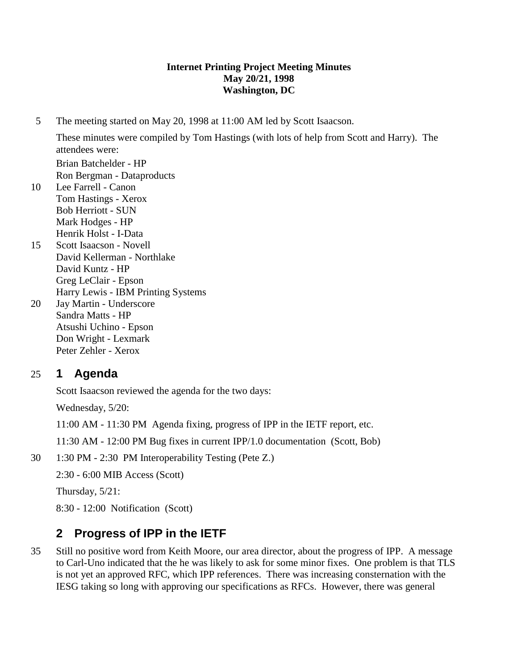#### **Internet Printing Project Meeting Minutes May 20/21, 1998 Washington, DC**

5 The meeting started on May 20, 1998 at 11:00 AM led by Scott Isaacson.

These minutes were compiled by Tom Hastings (with lots of help from Scott and Harry). The attendees were: Brian Batchelder - HP Ron Bergman - Dataproducts

- 10 Lee Farrell Canon Tom Hastings - Xerox Bob Herriott - SUN Mark Hodges - HP Henrik Holst - I-Data
- 15 Scott Isaacson Novell David Kellerman - Northlake David Kuntz - HP Greg LeClair - Epson Harry Lewis - IBM Printing Systems
- 20 Jay Martin Underscore Sandra Matts - HP Atsushi Uchino - Epson Don Wright - Lexmark Peter Zehler - Xerox

## 25 **1 Agenda**

Scott Isaacson reviewed the agenda for the two days:

Wednesday, 5/20:

11:00 AM - 11:30 PM Agenda fixing, progress of IPP in the IETF report, etc.

11:30 AM - 12:00 PM Bug fixes in current IPP/1.0 documentation (Scott, Bob)

30 1:30 PM - 2:30 PM Interoperability Testing (Pete Z.)

2:30 - 6:00 MIB Access (Scott)

Thursday, 5/21:

8:30 - 12:00 Notification (Scott)

# **2 Progress of IPP in the IETF**

35 Still no positive word from Keith Moore, our area director, about the progress of IPP. A message to Carl-Uno indicated that the he was likely to ask for some minor fixes. One problem is that TLS is not yet an approved RFC, which IPP references. There was increasing consternation with the IESG taking so long with approving our specifications as RFCs. However, there was general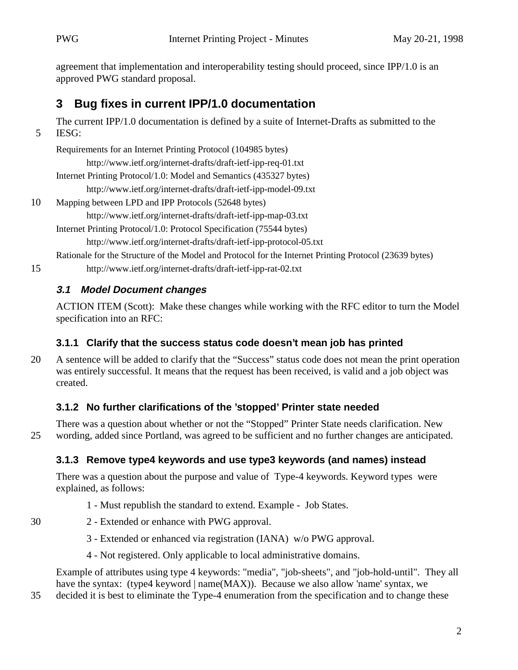agreement that implementation and interoperability testing should proceed, since IPP/1.0 is an approved PWG standard proposal.

# **3 Bug fixes in current IPP/1.0 documentation**

The current IPP/1.0 documentation is defined by a suite of Internet-Drafts as submitted to the 5 IESG:

Requirements for an Internet Printing Protocol (104985 bytes) http://www.ietf.org/internet-drafts/draft-ietf-ipp-req-01.txt Internet Printing Protocol/1.0: Model and Semantics (435327 bytes)

http://www.ietf.org/internet-drafts/draft-ietf-ipp-model-09.txt

10 Mapping between LPD and IPP Protocols (52648 bytes) http://www.ietf.org/internet-drafts/draft-ietf-ipp-map-03.txt

Internet Printing Protocol/1.0: Protocol Specification (75544 bytes) http://www.ietf.org/internet-drafts/draft-ietf-ipp-protocol-05.txt

Rationale for the Structure of the Model and Protocol for the Internet Printing Protocol (23639 bytes)

15 http://www.ietf.org/internet-drafts/draft-ietf-ipp-rat-02.txt

### **3.1 Model Document changes**

ACTION ITEM (Scott): Make these changes while working with the RFC editor to turn the Model specification into an RFC:

## **3.1.1 Clarify that the success status code doesn't mean job has printed**

20 A sentence will be added to clarify that the "Success" status code does not mean the print operation was entirely successful. It means that the request has been received, is valid and a job object was created.

## **3.1.2 No further clarifications of the 'stopped' Printer state needed**

There was a question about whether or not the "Stopped" Printer State needs clarification. New 25 wording, added since Portland, was agreed to be sufficient and no further changes are anticipated.

## **3.1.3 Remove type4 keywords and use type3 keywords (and names) instead**

There was a question about the purpose and value of Type-4 keywords. Keyword types were explained, as follows:

- 1 Must republish the standard to extend. Example Job States.
- 30 2 Extended or enhance with PWG approval.
	- 3 Extended or enhanced via registration (IANA) w/o PWG approval.
	- 4 Not registered. Only applicable to local administrative domains.

Example of attributes using type 4 keywords: "media", "job-sheets", and "job-hold-until". They all have the syntax: (type4 keyword | name(MAX)). Because we also allow 'name' syntax, we

35 decided it is best to eliminate the Type-4 enumeration from the specification and to change these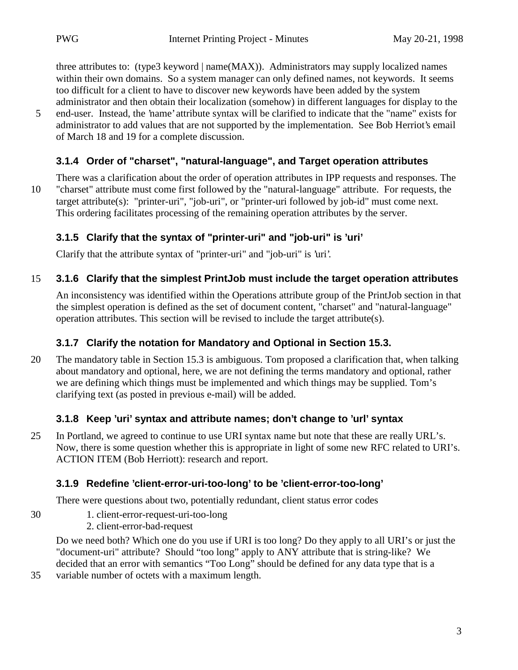three attributes to: (type3 keyword | name(MAX)). Administrators may supply localized names within their own domains. So a system manager can only defined names, not keywords. It seems too difficult for a client to have to discover new keywords have been added by the system administrator and then obtain their localization (somehow) in different languages for display to the

5 end-user. Instead, the 'name' attribute syntax will be clarified to indicate that the "name" exists for administrator to add values that are not supported by the implementation. See Bob Herriot's email of March 18 and 19 for a complete discussion.

#### **3.1.4 Order of "charset", "natural-language", and Target operation attributes**

There was a clarification about the order of operation attributes in IPP requests and responses. The 10 "charset" attribute must come first followed by the "natural-language" attribute. For requests, the target attribute(s): "printer-uri", "job-uri", or "printer-uri followed by job-id" must come next. This ordering facilitates processing of the remaining operation attributes by the server.

### **3.1.5 Clarify that the syntax of "printer-uri" and "job-uri" is 'uri'**

Clarify that the attribute syntax of "printer-uri" and "job-uri" is 'uri'.

### 15 **3.1.6 Clarify that the simplest PrintJob must include the target operation attributes**

An inconsistency was identified within the Operations attribute group of the PrintJob section in that the simplest operation is defined as the set of document content, "charset" and "natural-language" operation attributes. This section will be revised to include the target attribute(s).

## **3.1.7 Clarify the notation for Mandatory and Optional in Section 15.3.**

20 The mandatory table in Section 15.3 is ambiguous. Tom proposed a clarification that, when talking about mandatory and optional, here, we are not defining the terms mandatory and optional, rather we are defining which things must be implemented and which things may be supplied. Tom's clarifying text (as posted in previous e-mail) will be added.

#### **3.1.8 Keep 'uri' syntax and attribute names; don't change to 'url' syntax**

25 In Portland, we agreed to continue to use URI syntax name but note that these are really URL's. Now, there is some question whether this is appropriate in light of some new RFC related to URI's. ACTION ITEM (Bob Herriott): research and report.

## **3.1.9 Redefine 'client-error-uri-too-long' to be 'client-error-too-long'**

There were questions about two, potentially redundant, client status error codes

- 30 1. client-error-request-uri-too-long
	- 2. client-error-bad-request

Do we need both? Which one do you use if URI is too long? Do they apply to all URI's or just the "document-uri" attribute? Should "too long" apply to ANY attribute that is string-like? We decided that an error with semantics "Too Long" should be defined for any data type that is a

35 variable number of octets with a maximum length.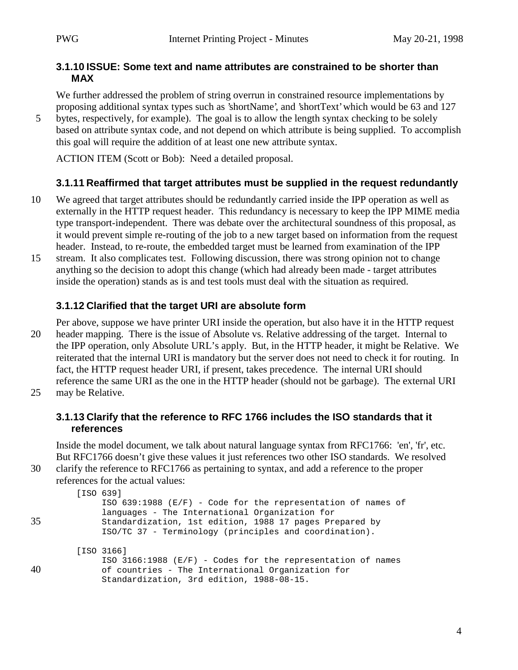#### **3.1.10 ISSUE: Some text and name attributes are constrained to be shorter than MAX**

We further addressed the problem of string overrun in constrained resource implementations by proposing additional syntax types such as 'shortName', and 'shortText' which would be 63 and 127 5 bytes, respectively, for example). The goal is to allow the length syntax checking to be solely

based on attribute syntax code, and not depend on which attribute is being supplied. To accomplish this goal will require the addition of at least one new attribute syntax.

ACTION ITEM (Scott or Bob): Need a detailed proposal.

#### **3.1.11 Reaffirmed that target attributes must be supplied in the request redundantly**

- 10 We agreed that target attributes should be redundantly carried inside the IPP operation as well as externally in the HTTP request header. This redundancy is necessary to keep the IPP MIME media type transport-independent. There was debate over the architectural soundness of this proposal, as it would prevent simple re-routing of the job to a new target based on information from the request header. Instead, to re-route, the embedded target must be learned from examination of the IPP
- 15 stream. It also complicates test. Following discussion, there was strong opinion not to change anything so the decision to adopt this change (which had already been made - target attributes inside the operation) stands as is and test tools must deal with the situation as required.

#### **3.1.12 Clarified that the target URI are absolute form**

- Per above, suppose we have printer URI inside the operation, but also have it in the HTTP request 20 header mapping. There is the issue of Absolute vs. Relative addressing of the target. Internal to the IPP operation, only Absolute URL's apply. But, in the HTTP header, it might be Relative. We reiterated that the internal URI is mandatory but the server does not need to check it for routing. In fact, the HTTP request header URI, if present, takes precedence. The internal URI should reference the same URI as the one in the HTTP header (should not be garbage). The external URI
- 25 may be Relative.

#### **3.1.13 Clarify that the reference to RFC 1766 includes the ISO standards that it references**

Inside the model document, we talk about natural language syntax from RFC1766: 'en', 'fr', etc. But RFC1766 doesn't give these values it just references two other ISO standards. We resolved 30 clarify the reference to RFC1766 as pertaining to syntax, and add a reference to the proper

```
references for the actual values:
```

```
 [ISO 639]
              ISO 639:1988 (E/F) - Code for the representation of names of
              languages - The International Organization for
35 Standardization, 1st edition, 1988 17 pages Prepared by
              ISO/TC 37 - Terminology (principles and coordination).
         [ISO 3166]
              ISO 3166:1988 (E/F) - Codes for the representation of names
40 of countries - The International Organization for
              Standardization, 3rd edition, 1988-08-15.
```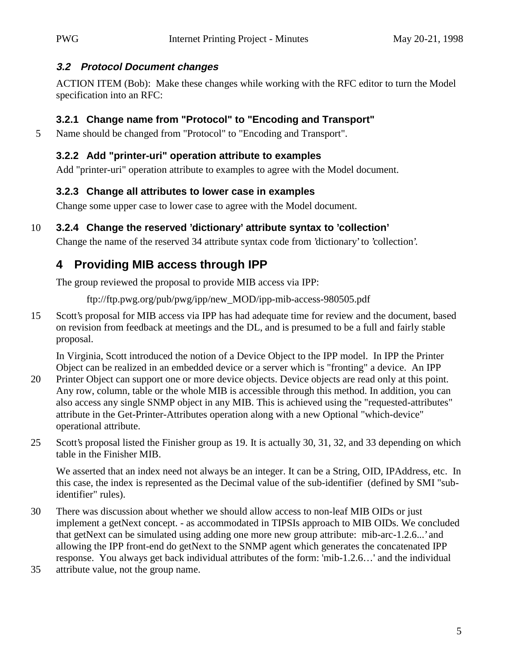#### **3.2 Protocol Document changes**

ACTION ITEM (Bob): Make these changes while working with the RFC editor to turn the Model specification into an RFC:

## **3.2.1 Change name from "Protocol" to "Encoding and Transport"**

5 Name should be changed from "Protocol" to "Encoding and Transport".

#### **3.2.2 Add "printer-uri" operation attribute to examples**

Add "printer-uri" operation attribute to examples to agree with the Model document.

### **3.2.3 Change all attributes to lower case in examples**

Change some upper case to lower case to agree with the Model document.

## 10 **3.2.4 Change the reserved 'dictionary' attribute syntax to 'collection'**

Change the name of the reserved 34 attribute syntax code from 'dictionary' to 'collection'.

# **4 Providing MIB access through IPP**

The group reviewed the proposal to provide MIB access via IPP:

ftp://ftp.pwg.org/pub/pwg/ipp/new\_MOD/ipp-mib-access-980505.pdf

15 Scott's proposal for MIB access via IPP has had adequate time for review and the document, based on revision from feedback at meetings and the DL, and is presumed to be a full and fairly stable proposal.

In Virginia, Scott introduced the notion of a Device Object to the IPP model. In IPP the Printer Object can be realized in an embedded device or a server which is "fronting" a device. An IPP

- 20 Printer Object can support one or more device objects. Device objects are read only at this point. Any row, column, table or the whole MIB is accessible through this method. In addition, you can also access any single SNMP object in any MIB. This is achieved using the "requested-attributes" attribute in the Get-Printer-Attributes operation along with a new Optional "which-device" operational attribute.
- 25 Scott's proposal listed the Finisher group as 19. It is actually 30, 31, 32, and 33 depending on which table in the Finisher MIB.

We asserted that an index need not always be an integer. It can be a String, OID, IPAddress, etc. In this case, the index is represented as the Decimal value of the sub-identifier (defined by SMI "subidentifier" rules).

- 30 There was discussion about whether we should allow access to non-leaf MIB OIDs or just implement a getNext concept. - as accommodated in TIPSIs approach to MIB OIDs. We concluded that getNext can be simulated using adding one more new group attribute: mib-arc-1.2.6...' and allowing the IPP front-end do getNext to the SNMP agent which generates the concatenated IPP response. You always get back individual attributes of the form: 'mib-1.2.6…' and the individual
- 35 attribute value, not the group name.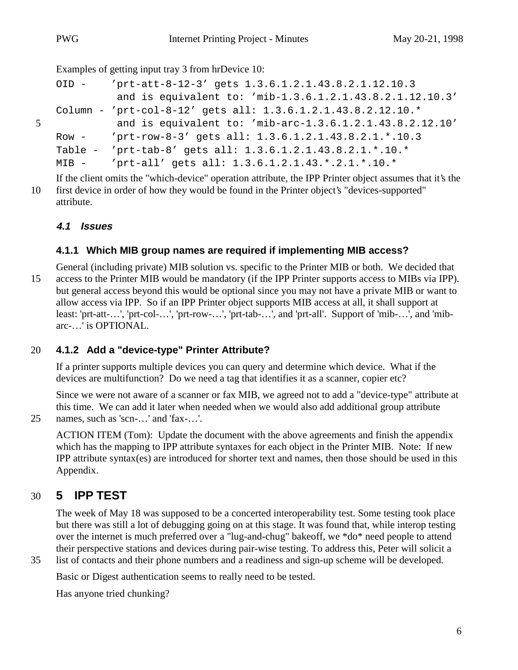Examples of getting input tray 3 from hrDevice 10:

```
OID - 'prt-att-8-12-3' gets 1.3.6.1.2.1.43.8.2.1.12.10.3
             and is equivalent to: 'mib-1.3.6.1.2.1.43.8.2.1.12.10.3'
   Column - 'prt-col-8-12' gets all: 1.3.6.1.2.1.43.8.2.12.10.*
5 and is equivalent to: 'mib-arc-1.3.6.1.2.1.43.8.2.12.10'
   Row - 'prt-row-8-3' gets all: 1.3.6.1.2.1.43.8.2.1.*.10.3
   Table - 'prt-tab-8' gets all: 1.3.6.1.2.1.43.8.2.1.*.10.*
   MIB - 'prt-all' gets all: 1.3.6.1.2.1.43.*.2.1.*.10.*
```
If the client omits the "which-device" operation attribute, the IPP Printer object assumes that it's the 10 first device in order of how they would be found in the Printer object's "devices-supported" attribute.

### **4.1 Issues**

### **4.1.1 Which MIB group names are required if implementing MIB access?**

General (including private) MIB solution vs. specific to the Printer MIB or both. We decided that 15 access to the Printer MIB would be mandatory (if the IPP Printer supports access to MIBs via IPP). but general access beyond this would be optional since you may not have a private MIB or want to allow access via IPP. So if an IPP Printer object supports MIB access at all, it shall support at least: 'prt-att-…', 'prt-col-…', 'prt-row-…', 'prt-tab-…', and 'prt-all'. Support of 'mib-…', and 'mibarc-…' is OPTIONAL.

#### 20 **4.1.2 Add a "device-type" Printer Attribute?**

If a printer supports multiple devices you can query and determine which device. What if the devices are multifunction? Do we need a tag that identifies it as a scanner, copier etc?

Since we were not aware of a scanner or fax MIB, we agreed not to add a "device-type" attribute at this time. We can add it later when needed when we would also add additional group attribute 25 names, such as 'scn-…' and 'fax-…'.

ACTION ITEM (Tom): Update the document with the above agreements and finish the appendix which has the mapping to IPP attribute syntaxes for each object in the Printer MIB. Note: If new IPP attribute syntax(es) are introduced for shorter text and names, then those should be used in this Appendix.

## 30 **5 IPP TEST**

The week of May 18 was supposed to be a concerted interoperability test. Some testing took place but there was still a lot of debugging going on at this stage. It was found that, while interop testing over the internet is much preferred over a "lug-and-chug" bakeoff, we \*do\* need people to attend their perspective stations and devices during pair-wise testing. To address this, Peter will solicit a

35 list of contacts and their phone numbers and a readiness and sign-up scheme will be developed.

Basic or Digest authentication seems to really need to be tested.

Has anyone tried chunking?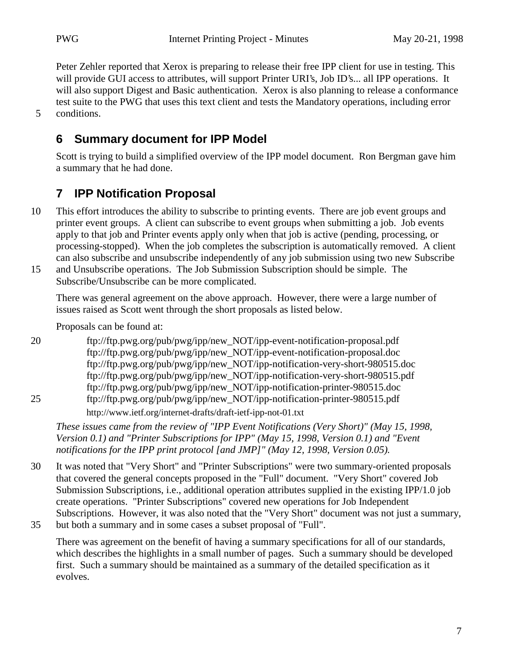Peter Zehler reported that Xerox is preparing to release their free IPP client for use in testing. This will provide GUI access to attributes, will support Printer URI's, Job ID's... all IPP operations. It will also support Digest and Basic authentication. Xerox is also planning to release a conformance test suite to the PWG that uses this text client and tests the Mandatory operations, including error 5 conditions.

## **6 Summary document for IPP Model**

Scott is trying to build a simplified overview of the IPP model document. Ron Bergman gave him a summary that he had done.

## **7 IPP Notification Proposal**

- 10 This effort introduces the ability to subscribe to printing events. There are job event groups and printer event groups. A client can subscribe to event groups when submitting a job. Job events apply to that job and Printer events apply only when that job is active (pending, processing, or processing-stopped). When the job completes the subscription is automatically removed. A client can also subscribe and unsubscribe independently of any job submission using two new Subscribe
- 15 and Unsubscribe operations. The Job Submission Subscription should be simple. The Subscribe/Unsubscribe can be more complicated.

There was general agreement on the above approach. However, there were a large number of issues raised as Scott went through the short proposals as listed below.

Proposals can be found at:

20 ftp://ftp.pwg.org/pub/pwg/ipp/new\_NOT/ipp-event-notification-proposal.pdf ftp://ftp.pwg.org/pub/pwg/ipp/new\_NOT/ipp-event-notification-proposal.doc ftp://ftp.pwg.org/pub/pwg/ipp/new\_NOT/ipp-notification-very-short-980515.doc ftp://ftp.pwg.org/pub/pwg/ipp/new\_NOT/ipp-notification-very-short-980515.pdf ftp://ftp.pwg.org/pub/pwg/ipp/new\_NOT/ipp-notification-printer-980515.doc 25 ftp://ftp.pwg.org/pub/pwg/ipp/new\_NOT/ipp-notification-printer-980515.pdf

http://www.ietf.org/internet-drafts/draft-ietf-ipp-not-01.txt

*These issues came from the review of "IPP Event Notifications (Very Short)" (May 15, 1998, Version 0.1) and "Printer Subscriptions for IPP" (May 15, 1998, Version 0.1) and "Event notifications for the IPP print protocol [and JMP]" (May 12, 1998, Version 0.05).*

- 30 It was noted that "Very Short" and "Printer Subscriptions" were two summary-oriented proposals that covered the general concepts proposed in the "Full" document. "Very Short" covered Job Submission Subscriptions, i.e., additional operation attributes supplied in the existing IPP/1.0 job create operations. "Printer Subscriptions" covered new operations for Job Independent Subscriptions. However, it was also noted that the "Very Short" document was not just a summary,
- 35 but both a summary and in some cases a subset proposal of "Full".

There was agreement on the benefit of having a summary specifications for all of our standards, which describes the highlights in a small number of pages. Such a summary should be developed first. Such a summary should be maintained as a summary of the detailed specification as it evolves.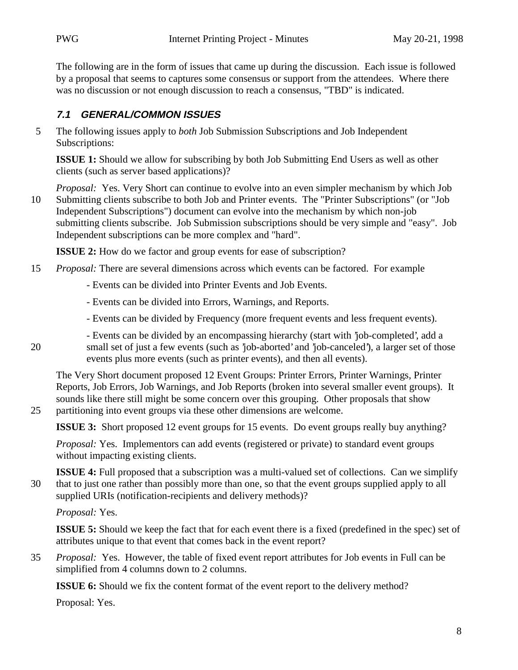The following are in the form of issues that came up during the discussion. Each issue is followed by a proposal that seems to captures some consensus or support from the attendees. Where there was no discussion or not enough discussion to reach a consensus, "TBD" is indicated.

#### **7.1 GENERAL/COMMON ISSUES**

5 The following issues apply to *both* Job Submission Subscriptions and Job Independent Subscriptions:

**ISSUE 1:** Should we allow for subscribing by both Job Submitting End Users as well as other clients (such as server based applications)?

*Proposal:* Yes. Very Short can continue to evolve into an even simpler mechanism by which Job 10 Submitting clients subscribe to both Job and Printer events. The "Printer Subscriptions" (or "Job Independent Subscriptions") document can evolve into the mechanism by which non-job submitting clients subscribe. Job Submission subscriptions should be very simple and "easy". Job Independent subscriptions can be more complex and "hard".

**ISSUE 2:** How do we factor and group events for ease of subscription?

- 15 *Proposal:* There are several dimensions across which events can be factored. For example
	- Events can be divided into Printer Events and Job Events.
	- Events can be divided into Errors, Warnings, and Reports.
	- Events can be divided by Frequency (more frequent events and less frequent events).
- Events can be divided by an encompassing hierarchy (start with 'job-completed', add a 20 small set of just a few events (such as 'job-aborted' and 'job-canceled'), a larger set of those events plus more events (such as printer events), and then all events).

The Very Short document proposed 12 Event Groups: Printer Errors, Printer Warnings, Printer Reports, Job Errors, Job Warnings, and Job Reports (broken into several smaller event groups). It sounds like there still might be some concern over this grouping. Other proposals that show 25 partitioning into event groups via these other dimensions are welcome.

**ISSUE 3:** Short proposed 12 event groups for 15 events. Do event groups really buy anything?

*Proposal:* Yes. Implementors can add events (registered or private) to standard event groups without impacting existing clients.

**ISSUE 4:** Full proposed that a subscription was a multi-valued set of collections. Can we simplify 30 that to just one rather than possibly more than one, so that the event groups supplied apply to all supplied URIs (notification-recipients and delivery methods)?

*Proposal:* Yes.

**ISSUE 5:** Should we keep the fact that for each event there is a fixed (predefined in the spec) set of attributes unique to that event that comes back in the event report?

35 *Proposal:* Yes. However, the table of fixed event report attributes for Job events in Full can be simplified from 4 columns down to 2 columns.

**ISSUE 6:** Should we fix the content format of the event report to the delivery method?

Proposal: Yes.

8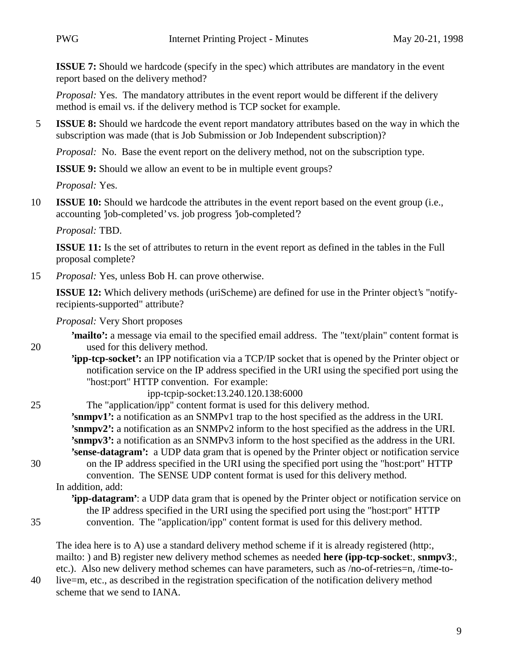**ISSUE 7:** Should we hardcode (specify in the spec) which attributes are mandatory in the event report based on the delivery method?

*Proposal:* Yes. The mandatory attributes in the event report would be different if the delivery method is email vs. if the delivery method is TCP socket for example.

5 **ISSUE 8:** Should we hardcode the event report mandatory attributes based on the way in which the subscription was made (that is Job Submission or Job Independent subscription)?

*Proposal:* No. Base the event report on the delivery method, not on the subscription type.

**ISSUE 9:** Should we allow an event to be in multiple event groups?

*Proposal:* Yes.

10 **ISSUE 10:** Should we hardcode the attributes in the event report based on the event group (i.e., accounting 'job-completed' vs. job progress 'job-completed'?

*Proposal:* TBD.

**ISSUE 11:** Is the set of attributes to return in the event report as defined in the tables in the Full proposal complete?

15 *Proposal:* Yes, unless Bob H. can prove otherwise.

**ISSUE 12:** Which delivery methods (uriScheme) are defined for use in the Printer object's "notifyrecipients-supported" attribute?

*Proposal:* Very Short proposes

- **'mailto':** a message via email to the specified email address. The "text/plain" content format is 20 used for this delivery method.
	- **'ipp-tcp-socket':** an IPP notification via a TCP/IP socket that is opened by the Printer object or notification service on the IP address specified in the URI using the specified port using the "host:port" HTTP convention. For example:

ipp-tcpip-socket:13.240.120.138:6000

25 The "application/ipp" content format is used for this delivery method. **'snmpv1':** a notification as an SNMPv1 trap to the host specified as the address in the URI. **'snmpv2':** a notification as an SNMPv2 inform to the host specified as the address in the URI. **'snmpv3':** a notification as an SNMPv3 inform to the host specified as the address in the URI. **'sense-datagram':** a UDP data gram that is opened by the Printer object or notification service 30 on the IP address specified in the URI using the specified port using the "host:port" HTTP convention. The SENSE UDP content format is used for this delivery method. In addition, add: **'ipp-datagram'**: a UDP data gram that is opened by the Printer object or notification service on

the IP address specified in the URI using the specified port using the "host:port" HTTP

- 
- 35 convention. The "application/ipp" content format is used for this delivery method.

The idea here is to A) use a standard delivery method scheme if it is already registered (http:, mailto: ) and B) register new delivery method schemes as needed **here (ipp-tcp-socket**:, **snmpv3**:, etc.). Also new delivery method schemes can have parameters, such as /no-of-retries=n, /time-to-

40 live=m, etc., as described in the registration specification of the notification delivery method scheme that we send to IANA.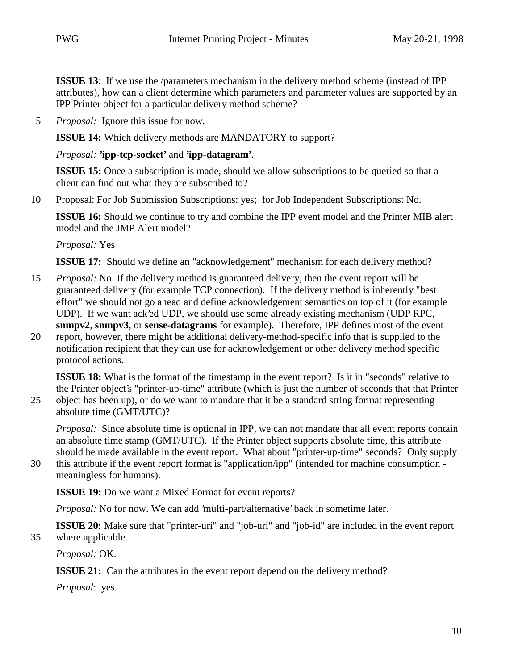**ISSUE 13**: If we use the /parameters mechanism in the delivery method scheme (instead of IPP) attributes), how can a client determine which parameters and parameter values are supported by an IPP Printer object for a particular delivery method scheme?

5 *Proposal:* Ignore this issue for now.

**ISSUE 14:** Which delivery methods are MANDATORY to support?

*Proposal:* **'ipp-tcp-socket'** and **'ipp-datagram'**.

**ISSUE 15:** Once a subscription is made, should we allow subscriptions to be queried so that a client can find out what they are subscribed to?

10 Proposal: For Job Submission Subscriptions: yes; for Job Independent Subscriptions: No.

**ISSUE 16:** Should we continue to try and combine the IPP event model and the Printer MIB alert model and the JMP Alert model?

*Proposal:* Yes

**ISSUE 17:** Should we define an "acknowledgement" mechanism for each delivery method?

- 15 *Proposal:* No. If the delivery method is guaranteed delivery, then the event report will be guaranteed delivery (for example TCP connection). If the delivery method is inherently "best effort" we should not go ahead and define acknowledgement semantics on top of it (for example UDP). If we want ack'ed UDP, we should use some already existing mechanism (UDP RPC, **snmpv2**, **snmpv3**, or **sense-datagrams** for example). Therefore, IPP defines most of the event 20 report, however, there might be additional delivery-method-specific info that is supplied to the
- notification recipient that they can use for acknowledgement or other delivery method specific protocol actions.

**ISSUE 18:** What is the format of the timestamp in the event report? Is it in "seconds" relative to the Printer object's "printer-up-time" attribute (which is just the number of seconds that that Printer 25 object has been up), or do we want to mandate that it be a standard string format representing absolute time (GMT/UTC)?

*Proposal:* Since absolute time is optional in IPP, we can not mandate that all event reports contain an absolute time stamp (GMT/UTC). If the Printer object supports absolute time, this attribute should be made available in the event report. What about "printer-up-time" seconds? Only supply

30 this attribute if the event report format is "application/ipp" (intended for machine consumption meaningless for humans).

**ISSUE 19:** Do we want a Mixed Format for event reports?

*Proposal:* No for now. We can add 'multi-part/alternative' back in sometime later.

**ISSUE 20:** Make sure that "printer-uri" and "job-uri" and "job-id" are included in the event report 35 where applicable.

*Proposal:* OK.

**ISSUE 21:** Can the attributes in the event report depend on the delivery method?

*Proposal*: yes.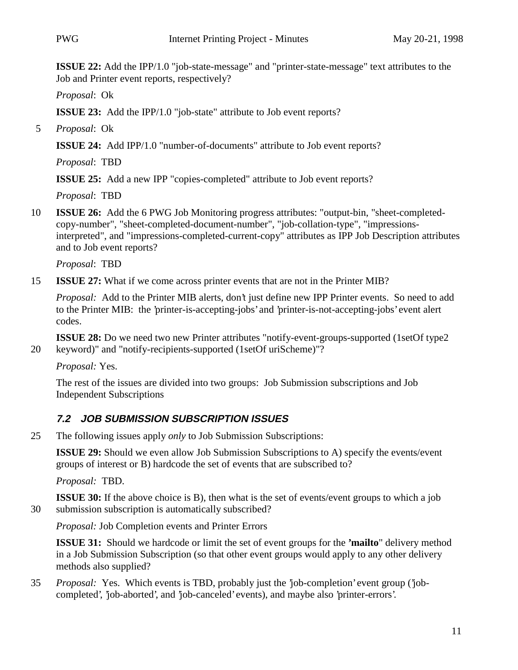**ISSUE 22:** Add the IPP/1.0 "job-state-message" and "printer-state-message" text attributes to the Job and Printer event reports, respectively?

*Proposal*: Ok

**ISSUE 23:** Add the IPP/1.0 "job-state" attribute to Job event reports?

5 *Proposal*: Ok

**ISSUE 24:** Add IPP/1.0 "number-of-documents" attribute to Job event reports?

*Proposal*: TBD

**ISSUE 25:** Add a new IPP "copies-completed" attribute to Job event reports?

*Proposal*: TBD

10 **ISSUE 26:** Add the 6 PWG Job Monitoring progress attributes: "output-bin, "sheet-completedcopy-number", "sheet-completed-document-number", "job-collation-type", "impressionsinterpreted", and "impressions-completed-current-copy" attributes as IPP Job Description attributes and to Job event reports?

*Proposal*: TBD

15 **ISSUE 27:** What if we come across printer events that are not in the Printer MIB?

*Proposal:* Add to the Printer MIB alerts, don't just define new IPP Printer events. So need to add to the Printer MIB: the 'printer-is-accepting-jobs' and 'printer-is-not-accepting-jobs' event alert codes.

**ISSUE 28:** Do we need two new Printer attributes "notify-event-groups-supported (1setOf type2 20 keyword)" and "notify-recipients-supported (1setOf uriScheme)"?

*Proposal:* Yes.

The rest of the issues are divided into two groups: Job Submission subscriptions and Job Independent Subscriptions

## **7.2 JOB SUBMISSION SUBSCRIPTION ISSUES**

25 The following issues apply *only* to Job Submission Subscriptions:

**ISSUE 29:** Should we even allow Job Submission Subscriptions to A) specify the events/event groups of interest or B) hardcode the set of events that are subscribed to?

*Proposal:* TBD.

**ISSUE 30:** If the above choice is B), then what is the set of events/event groups to which a job 30 submission subscription is automatically subscribed?

*Proposal:* Job Completion events and Printer Errors

**ISSUE 31:** Should we hardcode or limit the set of event groups for the **'mailto**" delivery method in a Job Submission Subscription (so that other event groups would apply to any other delivery methods also supplied?

35 *Proposal:* Yes. Which events is TBD, probably just the 'job-completion' event group ('jobcompleted', 'job-aborted', and 'job-canceled' events), and maybe also 'printer-errors'.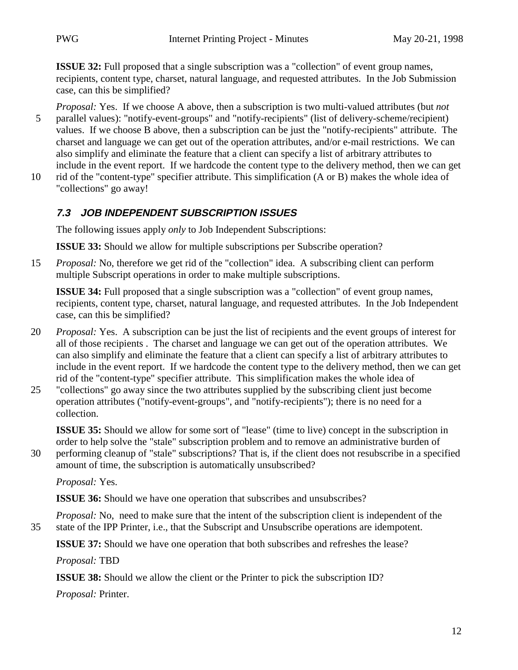**ISSUE 32:** Full proposed that a single subscription was a "collection" of event group names, recipients, content type, charset, natural language, and requested attributes. In the Job Submission case, can this be simplified?

- *Proposal:* Yes. If we choose A above, then a subscription is two multi-valued attributes (but *not* 5 parallel values): "notify-event-groups" and "notify-recipients" (list of delivery-scheme/recipient) values. If we choose B above, then a subscription can be just the "notify-recipients" attribute. The charset and language we can get out of the operation attributes, and/or e-mail restrictions. We can also simplify and eliminate the feature that a client can specify a list of arbitrary attributes to include in the event report. If we hardcode the content type to the delivery method, then we can get
- 10 rid of the "content-type" specifier attribute. This simplification (A or B) makes the whole idea of "collections" go away!

## **7.3 JOB INDEPENDENT SUBSCRIPTION ISSUES**

The following issues apply *only* to Job Independent Subscriptions:

**ISSUE 33:** Should we allow for multiple subscriptions per Subscribe operation?

15 *Proposal:* No, therefore we get rid of the "collection" idea. A subscribing client can perform multiple Subscript operations in order to make multiple subscriptions.

**ISSUE 34:** Full proposed that a single subscription was a "collection" of event group names, recipients, content type, charset, natural language, and requested attributes. In the Job Independent case, can this be simplified?

- 20 *Proposal:* Yes. A subscription can be just the list of recipients and the event groups of interest for all of those recipients . The charset and language we can get out of the operation attributes. We can also simplify and eliminate the feature that a client can specify a list of arbitrary attributes to include in the event report. If we hardcode the content type to the delivery method, then we can get rid of the "content-type" specifier attribute. This simplification makes the whole idea of
- 25 "collections" go away since the two attributes supplied by the subscribing client just become operation attributes ("notify-event-groups", and "notify-recipients"); there is no need for a collection.

**ISSUE 35:** Should we allow for some sort of "lease" (time to live) concept in the subscription in order to help solve the "stale" subscription problem and to remove an administrative burden of

30 performing cleanup of "stale" subscriptions? That is, if the client does not resubscribe in a specified amount of time, the subscription is automatically unsubscribed?

*Proposal:* Yes.

**ISSUE 36:** Should we have one operation that subscribes and unsubscribes?

*Proposal:* No, need to make sure that the intent of the subscription client is independent of the 35 state of the IPP Printer, i.e., that the Subscript and Unsubscribe operations are idempotent.

**ISSUE 37:** Should we have one operation that both subscribes and refreshes the lease?

*Proposal:* TBD

**ISSUE 38:** Should we allow the client or the Printer to pick the subscription ID?

*Proposal:* Printer.